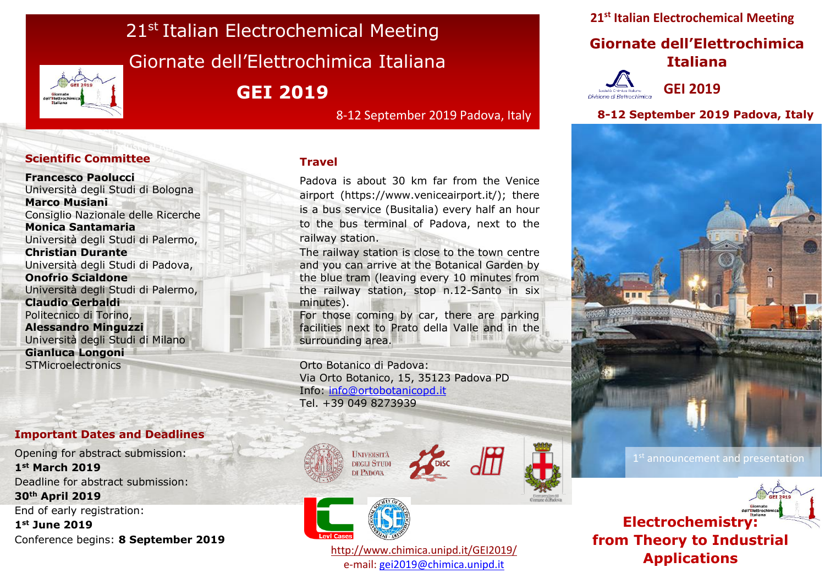# 21<sup>st</sup> Italian Electrochemical Meeting Giornate dell'Elettrochimica Italiana **GEI 2019**

8-12 September 2019 Padova, Italy

#### $\mathbf{H}$ **Scientific Committee**

**Francesco Paolucci** Università degli Studi di Bologna **Marco Musiani** Consiglio Nazionale delle Ricerche **Monica Santamaria** Università degli Studi di Palermo, **Christian Durante** Università degli Studi di Padova, **Onofrio Scialdone** Università degli Studi di Palermo, **Claudio Gerbaldi** Politecnico di Torino, **Alessandro Minguzzi** Università degli Studi di Milano **Gianluca Longoni STMicroelectronics** 

Electrocatalysis: from Theory to

#### **Important Dates and Deadlines**

Opening for abstract submission: **1st March 2019** Deadline for abstract submission: **30th April 2019** End of early registration: **1st June 2019**

Conference begins: **8 September 2019**

#### **Travel**

Padova is about 30 km far from the Venice airport (https://www.veniceairport.it/); there is a bus service (Busitalia) every half an hour to the bus terminal of Padova, next to the railway station.

The railway station is close to the town centre and you can arrive at the Botanical Garden by the blue tram (leaving every 10 minutes from the railway station, stop n.12-Santo in six minutes).

For those coming by car, there are parking facilities next to Prato della Valle and in the surrounding area.

Orto Botanico di Padova: Via Orto Botanico, 15, 35123 Padova PD Info: [info@ortobotanicopd.it](mailto:info@ortobotanicopd.it) Tel. +39 049 8273939







<http://www.chimica.unipd.it/GEI2019/> e-mail: [gei2019@chimica.unipd.it](mailto:gei2019@chimica.unipd.it)

**21st Italian Electrochemical Meeting**

# **Giornate dell'Elettrochimica Italiana**



**GEI 2019**

**8-12 September 2019 Padova, Italy**



1st announcement and presentation